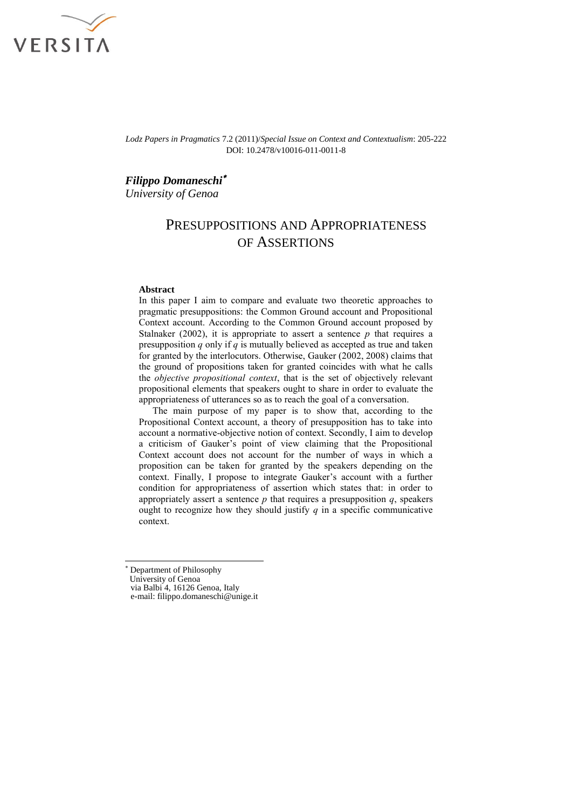

*Filippo Domaneschi University of Genoa*

# PRESUPPOSITIONS AND APPROPRIATENESS OF ASSERTIONS

### **Abstract**

In this paper I aim to compare and evaluate two theoretic approaches to pragmatic presuppositions: the Common Ground account and Propositional Context account. According to the Common Ground account proposed by Stalnaker (2002), it is appropriate to assert a sentence *p* that requires a presupposition *q* only if *q* is mutually believed as accepted as true and taken for granted by the interlocutors. Otherwise, Gauker (2002, 2008) claims that the ground of propositions taken for granted coincides with what he calls the *objective propositional context*, that is the set of objectively relevant propositional elements that speakers ought to share in order to evaluate the appropriateness of utterances so as to reach the goal of a conversation.

The main purpose of my paper is to show that, according to the Propositional Context account, a theory of presupposition has to take into account a normative-objective notion of context. Secondly, I aim to develop a criticism of Gauker's point of view claiming that the Propositional Context account does not account for the number of ways in which a proposition can be taken for granted by the speakers depending on the context. Finally, I propose to integrate Gauker's account with a further condition for appropriateness of assertion which states that: in order to appropriately assert a sentence *p* that requires a presupposition *q*, speakers ought to recognize how they should justify  $q$  in a specific communicative context.

Department of Philosophy

University of Genoa

1

via Balbi 4, 16126 Genoa, Italy e-mail: filippo.domaneschi@unige.it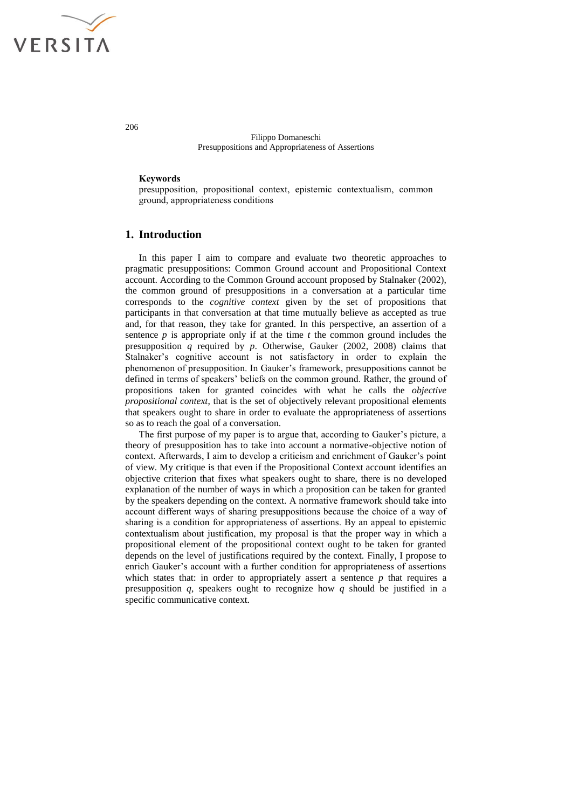

#### **Keywords**

presupposition, propositional context, epistemic contextualism, common ground, appropriateness conditions

# **1. Introduction**

In this paper I aim to compare and evaluate two theoretic approaches to pragmatic presuppositions: Common Ground account and Propositional Context account. According to the Common Ground account proposed by Stalnaker (2002), the common ground of presuppositions in a conversation at a particular time corresponds to the *cognitive context* given by the set of propositions that participants in that conversation at that time mutually believe as accepted as true and, for that reason, they take for granted. In this perspective, an assertion of a sentence  $p$  is appropriate only if at the time  $t$  the common ground includes the presupposition *q* required by *p*. Otherwise, Gauker (2002, 2008) claims that Stalnaker's cognitive account is not satisfactory in order to explain the phenomenon of presupposition. In Gauker's framework, presuppositions cannot be defined in terms of speakers' beliefs on the common ground. Rather, the ground of propositions taken for granted coincides with what he calls the *objective propositional context*, that is the set of objectively relevant propositional elements that speakers ought to share in order to evaluate the appropriateness of assertions so as to reach the goal of a conversation.

The first purpose of my paper is to argue that, according to Gauker's picture, a theory of presupposition has to take into account a normative-objective notion of context. Afterwards, I aim to develop a criticism and enrichment of Gauker's point of view. My critique is that even if the Propositional Context account identifies an objective criterion that fixes what speakers ought to share, there is no developed explanation of the number of ways in which a proposition can be taken for granted by the speakers depending on the context. A normative framework should take into account different ways of sharing presuppositions because the choice of a way of sharing is a condition for appropriateness of assertions. By an appeal to epistemic contextualism about justification, my proposal is that the proper way in which a propositional element of the propositional context ought to be taken for granted depends on the level of justifications required by the context. Finally, I propose to enrich Gauker's account with a further condition for appropriateness of assertions which states that: in order to appropriately assert a sentence *p* that requires a presupposition *q*, speakers ought to recognize how *q* should be justified in a specific communicative context.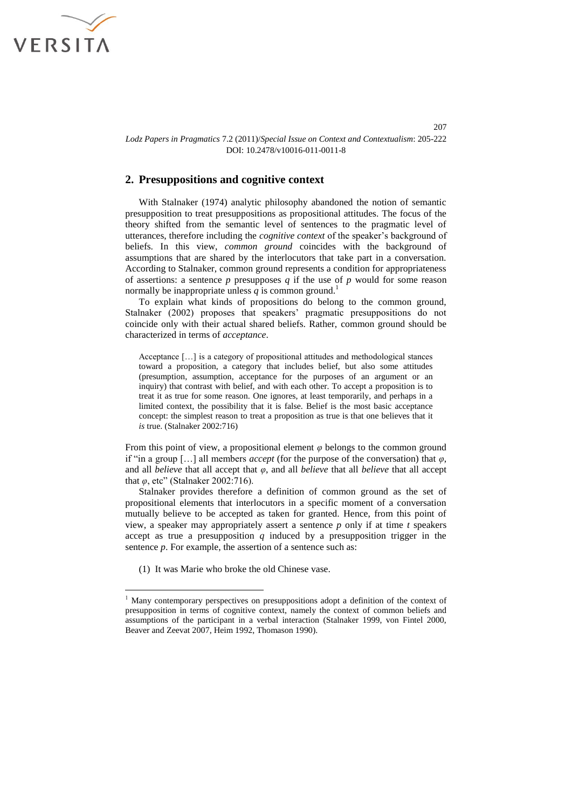

### **2. Presuppositions and cognitive context**

With Stalnaker (1974) analytic philosophy abandoned the notion of semantic presupposition to treat presuppositions as propositional attitudes. The focus of the theory shifted from the semantic level of sentences to the pragmatic level of utterances, therefore including the *cognitive context* of the speaker's background of beliefs. In this view, *common ground* coincides with the background of assumptions that are shared by the interlocutors that take part in a conversation. According to Stalnaker, common ground represents a condition for appropriateness of assertions: a sentence *p* presupposes *q* if the use of *p* would for some reason normally be inappropriate unless  $q$  is common ground.<sup>1</sup>

To explain what kinds of propositions do belong to the common ground, Stalnaker (2002) proposes that speakers' pragmatic presuppositions do not coincide only with their actual shared beliefs. Rather, common ground should be characterized in terms of *acceptance*.

Acceptance […] is a category of propositional attitudes and methodological stances toward a proposition, a category that includes belief, but also some attitudes (presumption, assumption, acceptance for the purposes of an argument or an inquiry) that contrast with belief, and with each other. To accept a proposition is to treat it as true for some reason. One ignores, at least temporarily, and perhaps in a limited context, the possibility that it is false. Belief is the most basic acceptance concept: the simplest reason to treat a proposition as true is that one believes that it *is* true. (Stalnaker 2002:716)

From this point of view, a propositional element *φ* belongs to the common ground if "in a group […] all members *accept* (for the purpose of the conversation) that *φ*, and all *believe* that all accept that *φ*, and all *believe* that all *believe* that all accept that  $\varphi$ , etc" (Stalnaker 2002:716).

Stalnaker provides therefore a definition of common ground as the set of propositional elements that interlocutors in a specific moment of a conversation mutually believe to be accepted as taken for granted. Hence, from this point of view, a speaker may appropriately assert a sentence *p* only if at time *t* speakers accept as true a presupposition  $q$  induced by a presupposition trigger in the sentence *p*. For example, the assertion of a sentence such as:

(1) It was Marie who broke the old Chinese vase.

**.** 

<sup>&</sup>lt;sup>1</sup> Many contemporary perspectives on presuppositions adopt a definition of the context of presupposition in terms of cognitive context, namely the context of common beliefs and assumptions of the participant in a verbal interaction (Stalnaker 1999, von Fintel 2000, Beaver and Zeevat 2007, Heim 1992, Thomason 1990).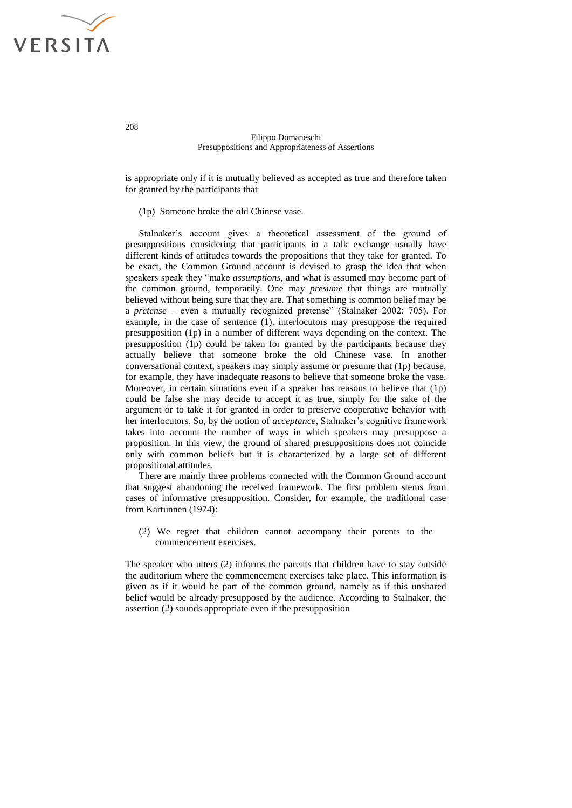

is appropriate only if it is mutually believed as accepted as true and therefore taken for granted by the participants that

(1p) Someone broke the old Chinese vase.

Stalnaker's account gives a theoretical assessment of the ground of presuppositions considering that participants in a talk exchange usually have different kinds of attitudes towards the propositions that they take for granted. To be exact, the Common Ground account is devised to grasp the idea that when speakers speak they "make *assumptions*, and what is assumed may become part of the common ground, temporarily. One may *presume* that things are mutually believed without being sure that they are. That something is common belief may be a *pretense* – even a mutually recognized pretense" (Stalnaker 2002: 705). For example, in the case of sentence (1), interlocutors may presuppose the required presupposition (1p) in a number of different ways depending on the context. The presupposition (1p) could be taken for granted by the participants because they actually believe that someone broke the old Chinese vase. In another conversational context, speakers may simply assume or presume that (1p) because, for example, they have inadequate reasons to believe that someone broke the vase. Moreover, in certain situations even if a speaker has reasons to believe that (1p) could be false she may decide to accept it as true, simply for the sake of the argument or to take it for granted in order to preserve cooperative behavior with her interlocutors. So, by the notion of *acceptance*, Stalnaker's cognitive framework takes into account the number of ways in which speakers may presuppose a proposition. In this view, the ground of shared presuppositions does not coincide only with common beliefs but it is characterized by a large set of different propositional attitudes.

There are mainly three problems connected with the Common Ground account that suggest abandoning the received framework. The first problem stems from cases of informative presupposition. Consider, for example, the traditional case from Kartunnen (1974):

(2) We regret that children cannot accompany their parents to the commencement exercises.

The speaker who utters (2) informs the parents that children have to stay outside the auditorium where the commencement exercises take place. This information is given as if it would be part of the common ground, namely as if this unshared belief would be already presupposed by the audience. According to Stalnaker, the assertion (2) sounds appropriate even if the presupposition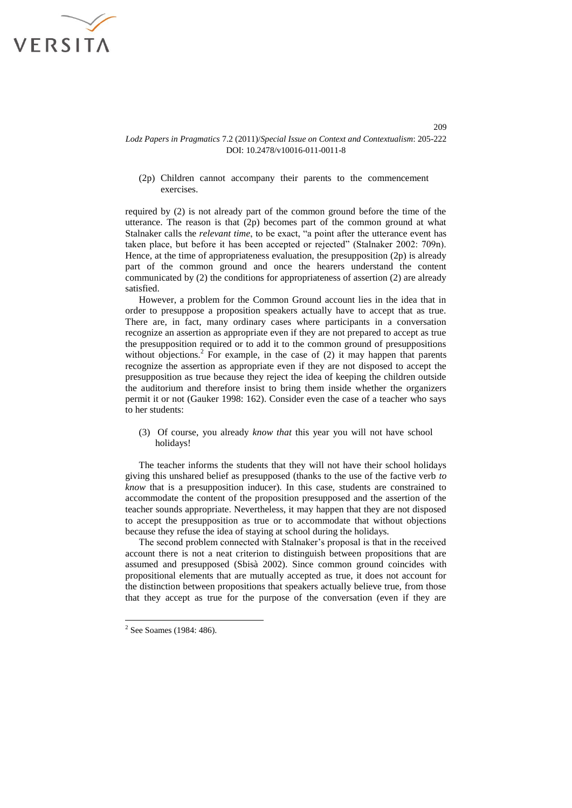

(2p) Children cannot accompany their parents to the commencement exercises.

required by (2) is not already part of the common ground before the time of the utterance. The reason is that  $(2p)$  becomes part of the common ground at what Stalnaker calls the *relevant time*, to be exact, "a point after the utterance event has taken place, but before it has been accepted or rejected" (Stalnaker 2002: 709n). Hence, at the time of appropriateness evaluation, the presupposition (2p) is already part of the common ground and once the hearers understand the content communicated by (2) the conditions for appropriateness of assertion (2) are already satisfied.

However, a problem for the Common Ground account lies in the idea that in order to presuppose a proposition speakers actually have to accept that as true. There are, in fact, many ordinary cases where participants in a conversation recognize an assertion as appropriate even if they are not prepared to accept as true the presupposition required or to add it to the common ground of presuppositions without objections.<sup>2</sup> For example, in the case of  $(2)$  it may happen that parents recognize the assertion as appropriate even if they are not disposed to accept the presupposition as true because they reject the idea of keeping the children outside the auditorium and therefore insist to bring them inside whether the organizers permit it or not (Gauker 1998: 162). Consider even the case of a teacher who says to her students:

(3) Of course, you already *know that* this year you will not have school holidays!

The teacher informs the students that they will not have their school holidays giving this unshared belief as presupposed (thanks to the use of the factive verb *to know* that is a presupposition inducer). In this case, students are constrained to accommodate the content of the proposition presupposed and the assertion of the teacher sounds appropriate. Nevertheless, it may happen that they are not disposed to accept the presupposition as true or to accommodate that without objections because they refuse the idea of staying at school during the holidays.

The second problem connected with Stalnaker's proposal is that in the received account there is not a neat criterion to distinguish between propositions that are assumed and presupposed (Sbisà 2002). Since common ground coincides with propositional elements that are mutually accepted as true, it does not account for the distinction between propositions that speakers actually believe true, from those that they accept as true for the purpose of the conversation (even if they are

**.** 

<sup>&</sup>lt;sup>2</sup> See Soames (1984: 486).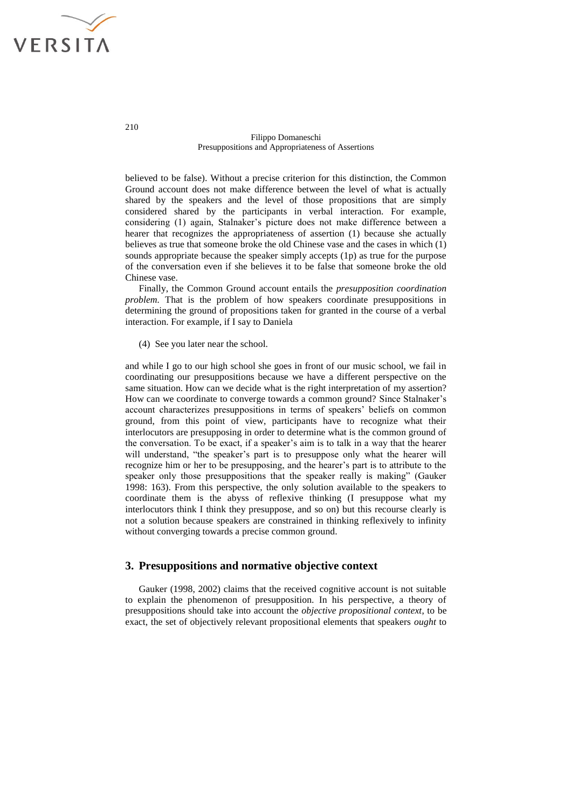

believed to be false). Without a precise criterion for this distinction, the Common Ground account does not make difference between the level of what is actually shared by the speakers and the level of those propositions that are simply considered shared by the participants in verbal interaction. For example, considering (1) again, Stalnaker's picture does not make difference between a hearer that recognizes the appropriateness of assertion (1) because she actually believes as true that someone broke the old Chinese vase and the cases in which (1) sounds appropriate because the speaker simply accepts (1p) as true for the purpose of the conversation even if she believes it to be false that someone broke the old Chinese vase.

Finally, the Common Ground account entails the *presupposition coordination problem.* That is the problem of how speakers coordinate presuppositions in determining the ground of propositions taken for granted in the course of a verbal interaction. For example, if I say to Daniela

(4) See you later near the school.

and while I go to our high school she goes in front of our music school, we fail in coordinating our presuppositions because we have a different perspective on the same situation. How can we decide what is the right interpretation of my assertion? How can we coordinate to converge towards a common ground? Since Stalnaker's account characterizes presuppositions in terms of speakers' beliefs on common ground, from this point of view, participants have to recognize what their interlocutors are presupposing in order to determine what is the common ground of the conversation. To be exact, if a speaker's aim is to talk in a way that the hearer will understand, "the speaker's part is to presuppose only what the hearer will recognize him or her to be presupposing, and the hearer's part is to attribute to the speaker only those presuppositions that the speaker really is making" (Gauker 1998: 163). From this perspective, the only solution available to the speakers to coordinate them is the abyss of reflexive thinking (I presuppose what my interlocutors think I think they presuppose, and so on) but this recourse clearly is not a solution because speakers are constrained in thinking reflexively to infinity without converging towards a precise common ground.

### **3. Presuppositions and normative objective context**

Gauker (1998, 2002) claims that the received cognitive account is not suitable to explain the phenomenon of presupposition. In his perspective, a theory of presuppositions should take into account the *objective propositional context*, to be exact, the set of objectively relevant propositional elements that speakers *ought* to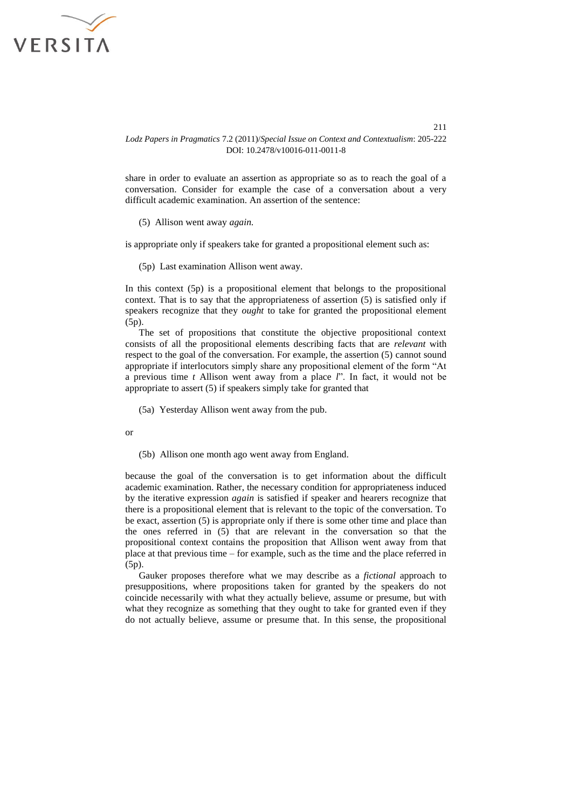

211

share in order to evaluate an assertion as appropriate so as to reach the goal of a conversation. Consider for example the case of a conversation about a very difficult academic examination. An assertion of the sentence:

(5) Allison went away *again.*

is appropriate only if speakers take for granted a propositional element such as:

(5p) Last examination Allison went away.

In this context (5p) is a propositional element that belongs to the propositional context. That is to say that the appropriateness of assertion (5) is satisfied only if speakers recognize that they *ought* to take for granted the propositional element (5p).

The set of propositions that constitute the objective propositional context consists of all the propositional elements describing facts that are *relevant* with respect to the goal of the conversation. For example, the assertion (5) cannot sound appropriate if interlocutors simply share any propositional element of the form "At a previous time *t* Allison went away from a place *l*". In fact, it would not be appropriate to assert (5) if speakers simply take for granted that

(5a) Yesterday Allison went away from the pub.

or

(5b) Allison one month ago went away from England.

because the goal of the conversation is to get information about the difficult academic examination. Rather, the necessary condition for appropriateness induced by the iterative expression *again* is satisfied if speaker and hearers recognize that there is a propositional element that is relevant to the topic of the conversation. To be exact, assertion (5) is appropriate only if there is some other time and place than the ones referred in (5) that are relevant in the conversation so that the propositional context contains the proposition that Allison went away from that place at that previous time – for example, such as the time and the place referred in (5p).

Gauker proposes therefore what we may describe as a *fictional* approach to presuppositions, where propositions taken for granted by the speakers do not coincide necessarily with what they actually believe, assume or presume, but with what they recognize as something that they ought to take for granted even if they do not actually believe, assume or presume that. In this sense, the propositional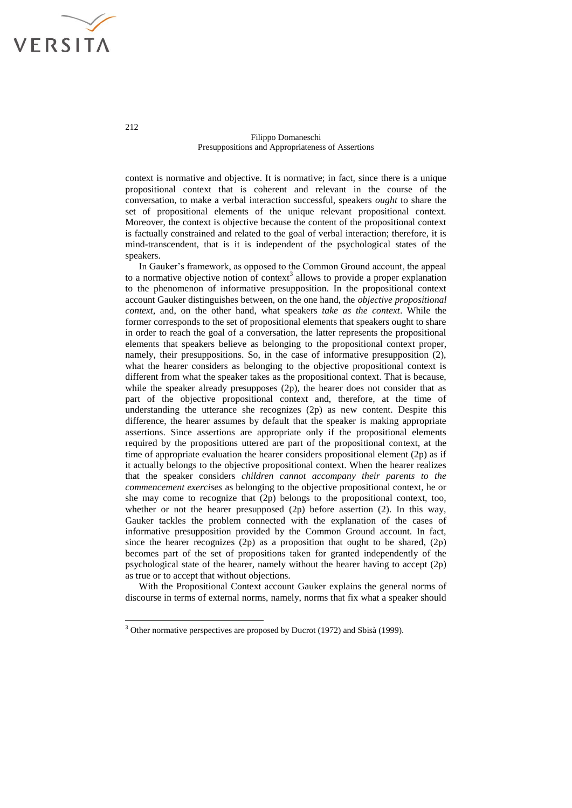

context is normative and objective. It is normative; in fact, since there is a unique propositional context that is coherent and relevant in the course of the conversation, to make a verbal interaction successful, speakers *ought* to share the set of propositional elements of the unique relevant propositional context. Moreover, the context is objective because the content of the propositional context is factually constrained and related to the goal of verbal interaction; therefore, it is mind-transcendent, that is it is independent of the psychological states of the speakers.

In Gauker's framework, as opposed to the Common Ground account, the appeal to a normative objective notion of context<sup>3</sup> allows to provide a proper explanation to the phenomenon of informative presupposition. In the propositional context account Gauker distinguishes between, on the one hand, the *objective propositional context*, and, on the other hand, what speakers *take as the context*. While the former corresponds to the set of propositional elements that speakers ought to share in order to reach the goal of a conversation, the latter represents the propositional elements that speakers believe as belonging to the propositional context proper, namely, their presuppositions. So, in the case of informative presupposition (2), what the hearer considers as belonging to the objective propositional context is different from what the speaker takes as the propositional context. That is because, while the speaker already presupposes (2p), the hearer does not consider that as part of the objective propositional context and, therefore, at the time of understanding the utterance she recognizes (2p) as new content. Despite this difference, the hearer assumes by default that the speaker is making appropriate assertions. Since assertions are appropriate only if the propositional elements required by the propositions uttered are part of the propositional context, at the time of appropriate evaluation the hearer considers propositional element (2p) as if it actually belongs to the objective propositional context. When the hearer realizes that the speaker considers *children cannot accompany their parents to the commencement exercises* as belonging to the objective propositional context, he or she may come to recognize that (2p) belongs to the propositional context, too, whether or not the hearer presupposed  $(2p)$  before assertion  $(2)$ . In this way, Gauker tackles the problem connected with the explanation of the cases of informative presupposition provided by the Common Ground account. In fact, since the hearer recognizes  $(2p)$  as a proposition that ought to be shared,  $(2p)$ becomes part of the set of propositions taken for granted independently of the psychological state of the hearer, namely without the hearer having to accept (2p) as true or to accept that without objections.

With the Propositional Context account Gauker explains the general norms of discourse in terms of external norms, namely, norms that fix what a speaker should

212

**.** 

<sup>&</sup>lt;sup>3</sup> Other normative perspectives are proposed by Ducrot (1972) and Sbisà (1999).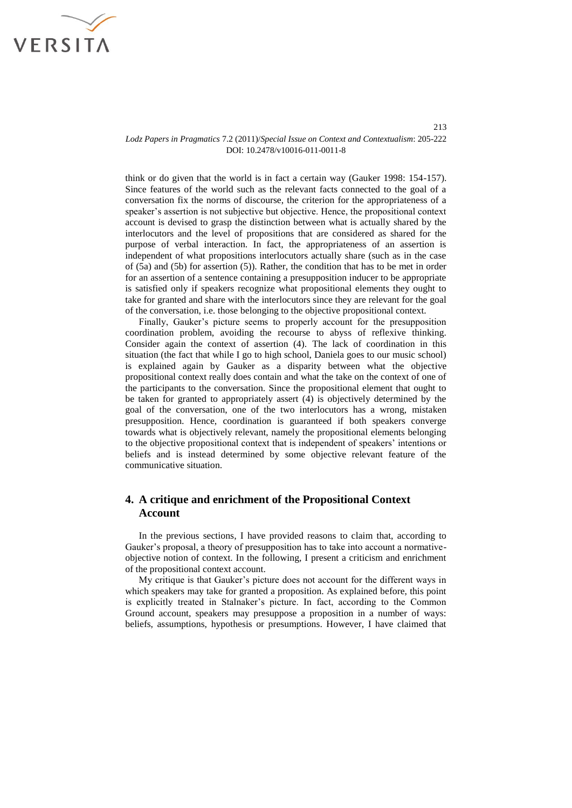

213

think or do given that the world is in fact a certain way (Gauker 1998: 154-157). Since features of the world such as the relevant facts connected to the goal of a conversation fix the norms of discourse, the criterion for the appropriateness of a speaker's assertion is not subjective but objective. Hence, the propositional context account is devised to grasp the distinction between what is actually shared by the interlocutors and the level of propositions that are considered as shared for the purpose of verbal interaction. In fact, the appropriateness of an assertion is independent of what propositions interlocutors actually share (such as in the case of (5a) and (5b) for assertion (5)). Rather, the condition that has to be met in order for an assertion of a sentence containing a presupposition inducer to be appropriate is satisfied only if speakers recognize what propositional elements they ought to take for granted and share with the interlocutors since they are relevant for the goal of the conversation, i.e. those belonging to the objective propositional context.

Finally, Gauker's picture seems to properly account for the presupposition coordination problem, avoiding the recourse to abyss of reflexive thinking. Consider again the context of assertion (4). The lack of coordination in this situation (the fact that while I go to high school, Daniela goes to our music school) is explained again by Gauker as a disparity between what the objective propositional context really does contain and what the take on the context of one of the participants to the conversation. Since the propositional element that ought to be taken for granted to appropriately assert (4) is objectively determined by the goal of the conversation, one of the two interlocutors has a wrong, mistaken presupposition. Hence, coordination is guaranteed if both speakers converge towards what is objectively relevant, namely the propositional elements belonging to the objective propositional context that is independent of speakers' intentions or beliefs and is instead determined by some objective relevant feature of the communicative situation.

# **4. A critique and enrichment of the Propositional Context Account**

In the previous sections, I have provided reasons to claim that, according to Gauker's proposal, a theory of presupposition has to take into account a normativeobjective notion of context. In the following, I present a criticism and enrichment of the propositional context account.

My critique is that Gauker's picture does not account for the different ways in which speakers may take for granted a proposition. As explained before, this point is explicitly treated in Stalnaker's picture. In fact, according to the Common Ground account, speakers may presuppose a proposition in a number of ways: beliefs, assumptions, hypothesis or presumptions. However, I have claimed that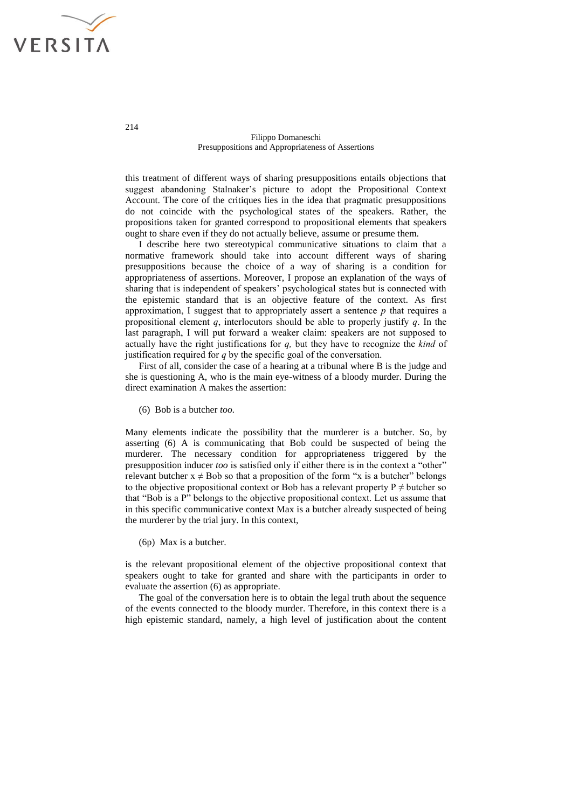

this treatment of different ways of sharing presuppositions entails objections that suggest abandoning Stalnaker's picture to adopt the Propositional Context Account. The core of the critiques lies in the idea that pragmatic presuppositions do not coincide with the psychological states of the speakers. Rather, the propositions taken for granted correspond to propositional elements that speakers ought to share even if they do not actually believe, assume or presume them.

I describe here two stereotypical communicative situations to claim that a normative framework should take into account different ways of sharing presuppositions because the choice of a way of sharing is a condition for appropriateness of assertions. Moreover, I propose an explanation of the ways of sharing that is independent of speakers' psychological states but is connected with the epistemic standard that is an objective feature of the context. As first approximation, I suggest that to appropriately assert a sentence *p* that requires a propositional element  $q$ , interlocutors should be able to properly justify  $q$ . In the last paragraph, I will put forward a weaker claim: speakers are not supposed to actually have the right justifications for *q,* but they have to recognize the *kind* of justification required for *q* by the specific goal of the conversation.

First of all, consider the case of a hearing at a tribunal where B is the judge and she is questioning A, who is the main eye-witness of a bloody murder. During the direct examination A makes the assertion:

(6) Bob is a butcher *too.*

Many elements indicate the possibility that the murderer is a butcher. So, by asserting (6) A is communicating that Bob could be suspected of being the murderer. The necessary condition for appropriateness triggered by the presupposition inducer *too* is satisfied only if either there is in the context a "other" relevant butcher  $x \neq Bob$  so that a proposition of the form "x is a butcher" belongs to the objective propositional context or Bob has a relevant property  $P \neq$  butcher so that "Bob is a P" belongs to the objective propositional context. Let us assume that in this specific communicative context Max is a butcher already suspected of being the murderer by the trial jury. In this context,

(6p) Max is a butcher.

is the relevant propositional element of the objective propositional context that speakers ought to take for granted and share with the participants in order to evaluate the assertion (6) as appropriate.

The goal of the conversation here is to obtain the legal truth about the sequence of the events connected to the bloody murder. Therefore, in this context there is a high epistemic standard, namely, a high level of justification about the content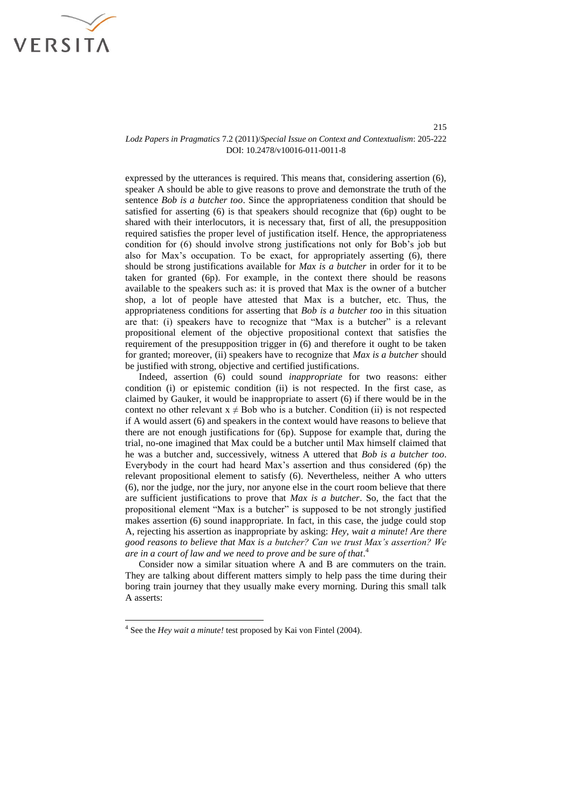

215

expressed by the utterances is required. This means that, considering assertion (6), speaker A should be able to give reasons to prove and demonstrate the truth of the sentence *Bob is a butcher too*. Since the appropriateness condition that should be satisfied for asserting (6) is that speakers should recognize that (6p) ought to be shared with their interlocutors, it is necessary that, first of all, the presupposition required satisfies the proper level of justification itself. Hence, the appropriateness condition for (6) should involve strong justifications not only for Bob's job but also for Max's occupation. To be exact, for appropriately asserting (6), there should be strong justifications available for *Max is a butcher* in order for it to be taken for granted (6p). For example, in the context there should be reasons available to the speakers such as: it is proved that Max is the owner of a butcher shop, a lot of people have attested that Max is a butcher, etc. Thus, the appropriateness conditions for asserting that *Bob is a butcher too* in this situation are that: (i) speakers have to recognize that "Max is a butcher" is a relevant propositional element of the objective propositional context that satisfies the requirement of the presupposition trigger in (6) and therefore it ought to be taken for granted; moreover, (ii) speakers have to recognize that *Max is a butcher* should be justified with strong, objective and certified justifications.

Indeed, assertion (6) could sound *inappropriate* for two reasons: either condition (i) or epistemic condition (ii) is not respected. In the first case, as claimed by Gauker, it would be inappropriate to assert (6) if there would be in the context no other relevant  $x \neq Bob$  who is a butcher. Condition (ii) is not respected if A would assert (6) and speakers in the context would have reasons to believe that there are not enough justifications for (6p). Suppose for example that, during the trial, no-one imagined that Max could be a butcher until Max himself claimed that he was a butcher and, successively, witness A uttered that *Bob is a butcher too*. Everybody in the court had heard Max's assertion and thus considered (6p) the relevant propositional element to satisfy (6). Nevertheless, neither A who utters (6), nor the judge, nor the jury, nor anyone else in the court room believe that there are sufficient justifications to prove that *Max is a butcher*. So, the fact that the propositional element "Max is a butcher" is supposed to be not strongly justified makes assertion (6) sound inappropriate. In fact, in this case, the judge could stop A, rejecting his assertion as inappropriate by asking: *Hey, wait a minute! Are there good reasons to believe that Max is a butcher? Can we trust Max's assertion? We are in a court of law and we need to prove and be sure of that*. 4

Consider now a similar situation where A and B are commuters on the train. They are talking about different matters simply to help pass the time during their boring train journey that they usually make every morning. During this small talk A asserts:

**.** 

<sup>&</sup>lt;sup>4</sup> See the *Hey wait a minute!* test proposed by Kai von Fintel (2004).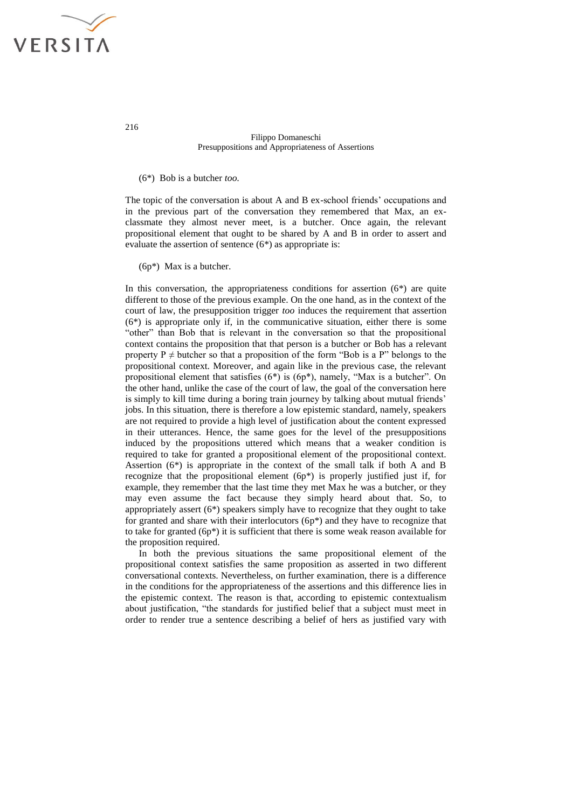

#### (6\*) Bob is a butcher *too.*

The topic of the conversation is about A and B ex-school friends' occupations and in the previous part of the conversation they remembered that Max, an exclassmate they almost never meet, is a butcher. Once again, the relevant propositional element that ought to be shared by A and B in order to assert and evaluate the assertion of sentence (6\*) as appropriate is:

(6p\*) Max is a butcher.

In this conversation, the appropriateness conditions for assertion  $(6^*)$  are quite different to those of the previous example. On the one hand, as in the context of the court of law, the presupposition trigger *too* induces the requirement that assertion (6\*) is appropriate only if, in the communicative situation, either there is some "other" than Bob that is relevant in the conversation so that the propositional context contains the proposition that that person is a butcher or Bob has a relevant property  $P \neq$  butcher so that a proposition of the form "Bob is a P" belongs to the propositional context. Moreover, and again like in the previous case, the relevant propositional element that satisfies (6\*) is (6p\*), namely, "Max is a butcher". On the other hand, unlike the case of the court of law, the goal of the conversation here is simply to kill time during a boring train journey by talking about mutual friends' jobs. In this situation, there is therefore a low epistemic standard, namely, speakers are not required to provide a high level of justification about the content expressed in their utterances. Hence, the same goes for the level of the presuppositions induced by the propositions uttered which means that a weaker condition is required to take for granted a propositional element of the propositional context. Assertion (6\*) is appropriate in the context of the small talk if both A and B recognize that the propositional element  $(6p*)$  is properly justified just if, for example, they remember that the last time they met Max he was a butcher, or they may even assume the fact because they simply heard about that. So, to appropriately assert (6\*) speakers simply have to recognize that they ought to take for granted and share with their interlocutors  $(6p*)$  and they have to recognize that to take for granted (6p\*) it is sufficient that there is some weak reason available for the proposition required.

In both the previous situations the same propositional element of the propositional context satisfies the same proposition as asserted in two different conversational contexts. Nevertheless, on further examination, there is a difference in the conditions for the appropriateness of the assertions and this difference lies in the epistemic context. The reason is that, according to epistemic contextualism about justification, "the standards for justified belief that a subject must meet in order to render true a sentence describing a belief of hers as justified vary with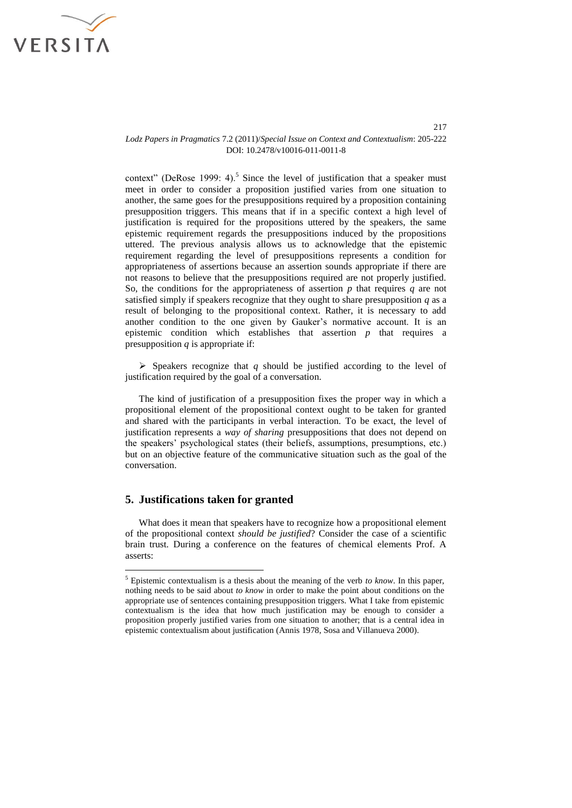

217

context" (DeRose 1999: 4).<sup>5</sup> Since the level of justification that a speaker must meet in order to consider a proposition justified varies from one situation to another, the same goes for the presuppositions required by a proposition containing presupposition triggers. This means that if in a specific context a high level of justification is required for the propositions uttered by the speakers, the same epistemic requirement regards the presuppositions induced by the propositions uttered. The previous analysis allows us to acknowledge that the epistemic requirement regarding the level of presuppositions represents a condition for appropriateness of assertions because an assertion sounds appropriate if there are not reasons to believe that the presuppositions required are not properly justified. So, the conditions for the appropriateness of assertion *p* that requires *q* are not satisfied simply if speakers recognize that they ought to share presupposition *q* as a result of belonging to the propositional context. Rather, it is necessary to add another condition to the one given by Gauker's normative account. It is an epistemic condition which establishes that assertion *p* that requires a presupposition *q* is appropriate if:

 $\triangleright$  Speakers recognize that *q* should be justified according to the level of justification required by the goal of a conversation.

The kind of justification of a presupposition fixes the proper way in which a propositional element of the propositional context ought to be taken for granted and shared with the participants in verbal interaction. To be exact, the level of justification represents a *way of sharing* presuppositions that does not depend on the speakers' psychological states (their beliefs, assumptions, presumptions, etc.) but on an objective feature of the communicative situation such as the goal of the conversation.

### **5. Justifications taken for granted**

1

What does it mean that speakers have to recognize how a propositional element of the propositional context *should be justified*? Consider the case of a scientific brain trust. During a conference on the features of chemical elements Prof. A asserts:

<sup>5</sup> Epistemic contextualism is a thesis about the meaning of the verb *to know*. In this paper, nothing needs to be said about *to know* in order to make the point about conditions on the appropriate use of sentences containing presupposition triggers. What I take from epistemic contextualism is the idea that how much justification may be enough to consider a proposition properly justified varies from one situation to another; that is a central idea in epistemic contextualism about justification (Annis 1978, Sosa and Villanueva 2000).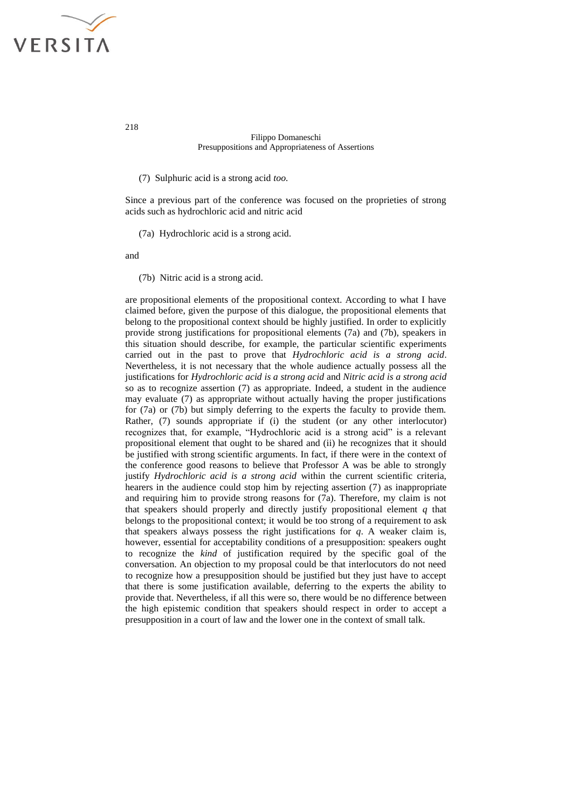

#### (7) Sulphuric acid is a strong acid *too.*

Since a previous part of the conference was focused on the proprieties of strong acids such as hydrochloric acid and nitric acid

(7a) Hydrochloric acid is a strong acid.

and

(7b) Nitric acid is a strong acid.

are propositional elements of the propositional context. According to what I have claimed before, given the purpose of this dialogue, the propositional elements that belong to the propositional context should be highly justified. In order to explicitly provide strong justifications for propositional elements (7a) and (7b), speakers in this situation should describe, for example, the particular scientific experiments carried out in the past to prove that *Hydrochloric acid is a strong acid*. Nevertheless, it is not necessary that the whole audience actually possess all the justifications for *Hydrochloric acid is a strong acid* and *Nitric acid is a strong acid* so as to recognize assertion (7) as appropriate. Indeed, a student in the audience may evaluate (7) as appropriate without actually having the proper justifications for (7a) or (7b) but simply deferring to the experts the faculty to provide them. Rather, (7) sounds appropriate if (i) the student (or any other interlocutor) recognizes that, for example, "Hydrochloric acid is a strong acid" is a relevant propositional element that ought to be shared and (ii) he recognizes that it should be justified with strong scientific arguments. In fact, if there were in the context of the conference good reasons to believe that Professor A was be able to strongly justify *Hydrochloric acid is a strong acid* within the current scientific criteria, hearers in the audience could stop him by rejecting assertion (7) as inappropriate and requiring him to provide strong reasons for (7a). Therefore, my claim is not that speakers should properly and directly justify propositional element *q* that belongs to the propositional context; it would be too strong of a requirement to ask that speakers always possess the right justifications for *q*. A weaker claim is, however, essential for acceptability conditions of a presupposition: speakers ought to recognize the *kind* of justification required by the specific goal of the conversation. An objection to my proposal could be that interlocutors do not need to recognize how a presupposition should be justified but they just have to accept that there is some justification available, deferring to the experts the ability to provide that. Nevertheless, if all this were so, there would be no difference between the high epistemic condition that speakers should respect in order to accept a presupposition in a court of law and the lower one in the context of small talk.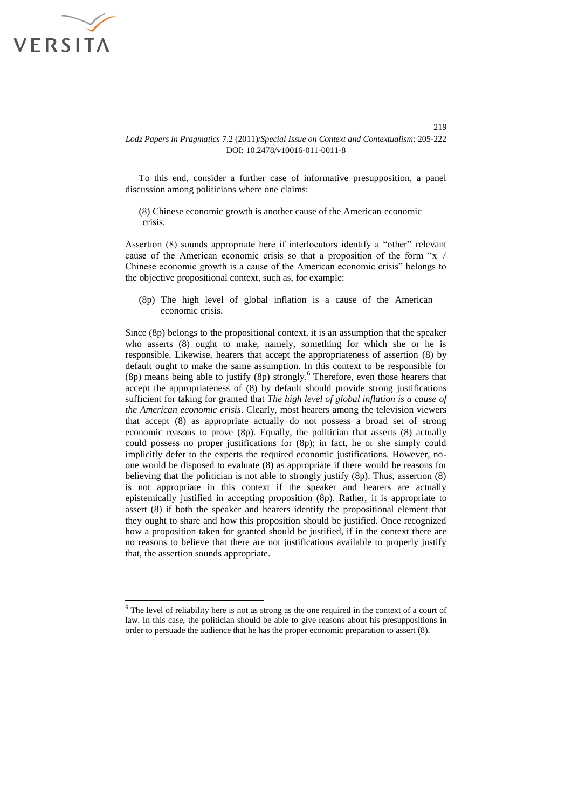

To this end, consider a further case of informative presupposition, a panel discussion among politicians where one claims:

(8) Chinese economic growth is another cause of the American economic crisis.

Assertion (8) sounds appropriate here if interlocutors identify a "other" relevant cause of the American economic crisis so that a proposition of the form " $x \neq$ Chinese economic growth is a cause of the American economic crisis" belongs to the objective propositional context, such as, for example:

(8p) The high level of global inflation is a cause of the American economic crisis.

Since (8p) belongs to the propositional context, it is an assumption that the speaker who asserts (8) ought to make, namely, something for which she or he is responsible. Likewise, hearers that accept the appropriateness of assertion (8) by default ought to make the same assumption. In this context to be responsible for (8p) means being able to justify (8p) strongly.<sup>6</sup> Therefore, even those hearers that accept the appropriateness of (8) by default should provide strong justifications sufficient for taking for granted that *The high level of global inflation is a cause of the American economic crisis*. Clearly, most hearers among the television viewers that accept (8) as appropriate actually do not possess a broad set of strong economic reasons to prove (8p). Equally, the politician that asserts (8) actually could possess no proper justifications for (8p); in fact, he or she simply could implicitly defer to the experts the required economic justifications. However, noone would be disposed to evaluate (8) as appropriate if there would be reasons for believing that the politician is not able to strongly justify (8p). Thus, assertion (8) is not appropriate in this context if the speaker and hearers are actually epistemically justified in accepting proposition (8p). Rather, it is appropriate to assert (8) if both the speaker and hearers identify the propositional element that they ought to share and how this proposition should be justified. Once recognized how a proposition taken for granted should be justified, if in the context there are no reasons to believe that there are not justifications available to properly justify that, the assertion sounds appropriate.

<sup>&</sup>lt;sup>6</sup> The level of reliability here is not as strong as the one required in the context of a court of law. In this case, the politician should be able to give reasons about his presuppositions in order to persuade the audience that he has the proper economic preparation to assert (8).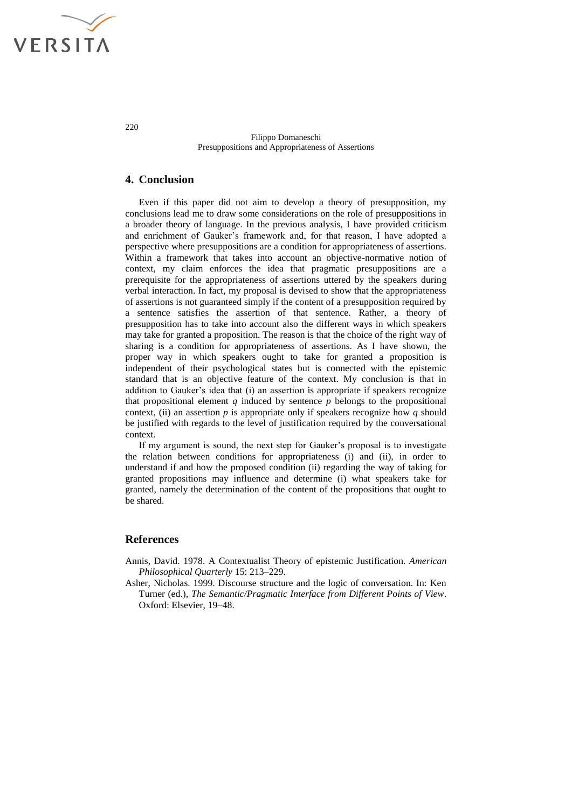

#### **4. Conclusion**

Even if this paper did not aim to develop a theory of presupposition, my conclusions lead me to draw some considerations on the role of presuppositions in a broader theory of language. In the previous analysis, I have provided criticism and enrichment of Gauker's framework and, for that reason, I have adopted a perspective where presuppositions are a condition for appropriateness of assertions. Within a framework that takes into account an objective-normative notion of context, my claim enforces the idea that pragmatic presuppositions are a prerequisite for the appropriateness of assertions uttered by the speakers during verbal interaction. In fact, my proposal is devised to show that the appropriateness of assertions is not guaranteed simply if the content of a presupposition required by a sentence satisfies the assertion of that sentence. Rather, a theory of presupposition has to take into account also the different ways in which speakers may take for granted a proposition. The reason is that the choice of the right way of sharing is a condition for appropriateness of assertions. As I have shown, the proper way in which speakers ought to take for granted a proposition is independent of their psychological states but is connected with the epistemic standard that is an objective feature of the context. My conclusion is that in addition to Gauker's idea that (i) an assertion is appropriate if speakers recognize that propositional element  $q$  induced by sentence  $p$  belongs to the propositional context, (ii) an assertion  $p$  is appropriate only if speakers recognize how  $q$  should be justified with regards to the level of justification required by the conversational context.

If my argument is sound, the next step for Gauker's proposal is to investigate the relation between conditions for appropriateness (i) and (ii), in order to understand if and how the proposed condition (ii) regarding the way of taking for granted propositions may influence and determine (i) what speakers take for granted, namely the determination of the content of the propositions that ought to be shared.

### **References**

- Annis, David. 1978. A Contextualist Theory of epistemic Justification. *American Philosophical Quarterly* 15: 213–229.
- Asher, Nicholas. 1999. Discourse structure and the logic of conversation. In: Ken Turner (ed.), *The Semantic/Pragmatic Interface from Different Points of View*. Oxford: Elsevier, 19–48.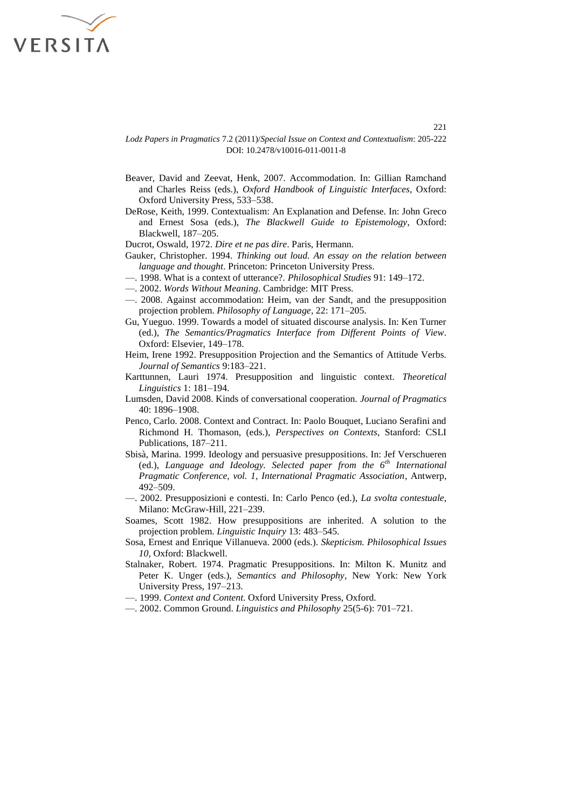

- Beaver, David and Zeevat, Henk, 2007. Accommodation. In: Gillian Ramchand and Charles Reiss (eds.), *Oxford Handbook of Linguistic Interfaces*, Oxford: Oxford University Press, 533–538.
- DeRose, Keith, 1999. Contextualism: An Explanation and Defense. In: John Greco and Ernest Sosa (eds.), *The Blackwell Guide to Epistemology*, Oxford: Blackwell, 187–205.
- Ducrot, Oswald, 1972. *Dire et ne pas dire*. Paris, Hermann.
- Gauker, Christopher. 1994. *Thinking out loud. An essay on the relation between language and thought*. Princeton: Princeton University Press.
- —. 1998. What is a context of utterance?. *Philosophical Studies* 91: 149–172.
- —. 2002. *Words Without Meaning*. Cambridge: MIT Press.
- —. 2008. Against accommodation: Heim, van der Sandt, and the presupposition projection problem. *Philosophy of Language*, 22: 171–205.
- Gu, Yueguo. 1999. Towards a model of situated discourse analysis. In: Ken Turner (ed.), *The Semantics/Pragmatics Interface from Different Points of View*. Oxford: Elsevier, 149–178.
- Heim, Irene 1992. Presupposition Projection and the Semantics of Attitude Verbs. *Journal of Semantics* 9:183–221.
- Karttunnen, Lauri 1974. Presupposition and linguistic context. *Theoretical Linguistics* 1: 181–194.
- Lumsden, David 2008. Kinds of conversational cooperation. *Journal of Pragmatics* 40: 1896–1908.
- Penco, Carlo. 2008. Context and Contract. In: Paolo Bouquet, Luciano Serafini and Richmond H. Thomason, (eds.), *Perspectives on Contexts*, Stanford: CSLI Publications, 187–211.
- Sbisà, Marina. 1999. Ideology and persuasive presuppositions. In: Jef Verschueren (ed.), *Language and Ideology. Selected paper from the 6th International Pragmatic Conference, vol. 1, International Pragmatic Association*, Antwerp, 492–509.
- —. 2002. Presupposizioni e contesti. In: Carlo Penco (ed.), *La svolta contestuale*, Milano: McGraw-Hill, 221–239.
- Soames, Scott 1982. How presuppositions are inherited. A solution to the projection problem. *Linguistic Inquiry* 13: 483–545.
- Sosa, Ernest and Enrique Villanueva. 2000 (eds.). *Skepticism. Philosophical Issues 10*, Oxford: Blackwell.
- Stalnaker, Robert. 1974. Pragmatic Presuppositions. In: Milton K. Munitz and Peter K. Unger (eds.), *Semantics and Philosophy*, New York: New York University Press, 197–213.
- —. 1999. *Context and Content*. Oxford University Press, Oxford.
- —. 2002. Common Ground. *Linguistics and Philosophy* 25(5-6): 701–721.